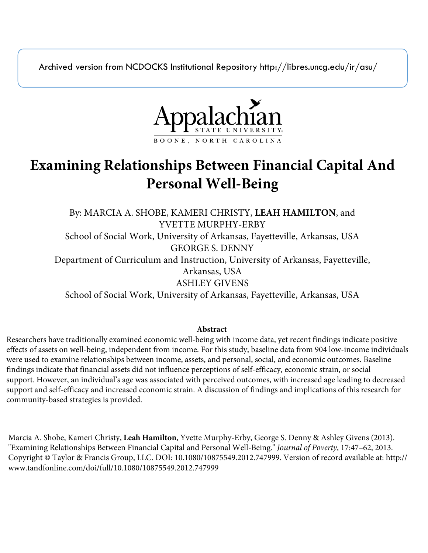Archived version from NCDOCKS Institutional Repository http://libres.uncg.edu/ir/asu/



# **Examining Relationships Between Financial Capital And Personal Well-Being**

By: MARCIA A. SHOBE, KAMERI CHRISTY, **LEAH HAMILTON**, and YVETTE MURPHY-ERBY School of Social Work, University of Arkansas, Fayetteville, Arkansas, USA GEORGE S. DENNY Department of Curriculum and Instruction, University of Arkansas, Fayetteville, Arkansas, USA ASHLEY GIVENS School of Social Work, University of Arkansas, Fayetteville, Arkansas, USA

# **Abstract**

Researchers have traditionally examined economic well-being with income data, yet recent findings indicate positive effects of assets on well-being, independent from income. For this study, baseline data from 904 low-income individuals were used to examine relationships between income, assets, and personal, social, and economic outcomes. Baseline findings indicate that financial assets did not influence perceptions of self-efficacy, economic strain, or social support. However, an individual's age was associated with perceived outcomes, with increased age leading to decreased support and self-efficacy and increased economic strain. A discussion of findings and implications of this research for community-based strategies is provided.

Marcia A. Shobe, Kameri Christy, **Leah Hamilton**, Yvette Murphy-Erby, George S. Denny & Ashley Givens (2013). "Examining Relationships Between Financial Capital and Personal Well-Being." *Journal of Poverty*, 17:47–62, 2013. Copyright © Taylor & Francis Group, LLC. DOI: 10.1080/10875549.2012.747999. Version of record available at: http:// www.tandfonline.com/doi/full/10.1080/10875549.2012.747999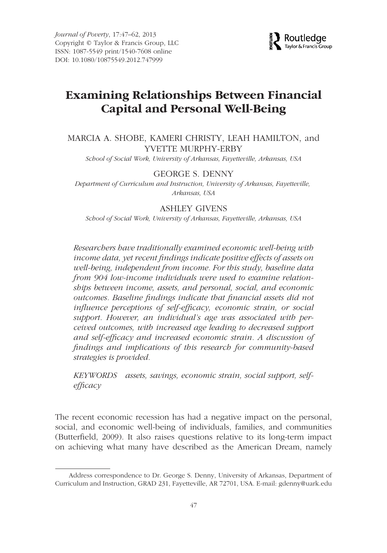

# **Examining Relationships Between Financial Capital and Personal Well-Being**

# MARCIA A. SHOBE, KAMERI CHRISTY, LEAH HAMILTON, and YVETTE MURPHY-ERBY

*School of Social Work, University of Arkansas, Fayetteville, Arkansas, USA*

# GEORGE S. DENNY

*Department of Curriculum and Instruction, University of Arkansas, Fayetteville, Arkansas, USA*

# ASHLEY GIVENS

*School of Social Work, University of Arkansas, Fayetteville, Arkansas, USA*

*Researchers have traditionally examined economic well-being with income data, yet recent findings indicate positive effects of assets on well-being, independent from income. For this study, baseline data from 904 low-income individuals were used to examine relationships between income, assets, and personal, social, and economic outcomes. Baseline findings indicate that financial assets did not influence perceptions of self-efficacy, economic strain, or social support. However, an individual's age was associated with perceived outcomes, with increased age leading to decreased support and self-efficacy and increased economic strain. A discussion of findings and implications of this research for community-based strategies is provided.*

*KEYWORDS assets, savings, economic strain, social support, selfefficacy*

The recent economic recession has had a negative impact on the personal, social, and economic well-being of individuals, families, and communities (Butterfield, 2009). It also raises questions relative to its long-term impact on achieving what many have described as the American Dream, namely

Address correspondence to Dr. George S. Denny, University of Arkansas, Department of Curriculum and Instruction, GRAD 231, Fayetteville, AR 72701, USA. E-mail: gdenny@uark.edu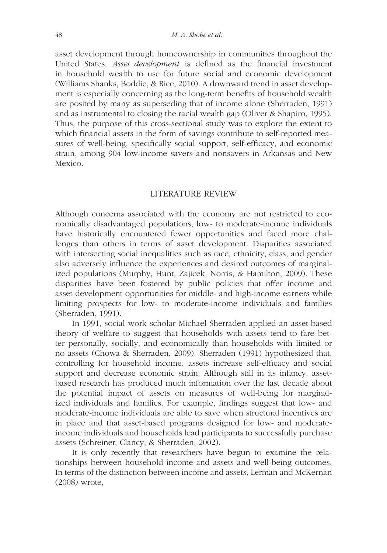asset development through homeownership in communities throughout the United States. *Asset development* is defined as the financial investment in household wealth to use for future social and economic development (Williams Shanks, Boddie, & Rice, 2010). A downward trend in asset development is especially concerning as the long-term benefits of household wealth are posited by many as superseding that of income alone (Sherraden, 1991) and as instrumental to closing the racial wealth gap (Oliver & Shapiro, 1995). Thus, the purpose of this cross-sectional study was to explore the extent to which financial assets in the form of savings contribute to self-reported measures of well-being, specifically social support, self-efficacy, and economic strain, among 904 low-income savers and nonsavers in Arkansas and New Mexico.

#### LITERATURE REVIEW

Although concerns associated with the economy are not restricted to economically disadvantaged populations, low- to moderate-income individuals have historically encountered fewer opportunities and faced more challenges than others in terms of asset development. Disparities associated with intersecting social inequalities such as race, ethnicity, class, and gender also adversely influence the experiences and desired outcomes of marginalized populations (Murphy, Hunt, Zajicek, Norris, & Hamilton, 2009). These disparities have been fostered by public policies that offer income and asset development opportunities for middle- and high-income earners while limiting prospects for low- to moderate-income individuals and families (Sherraden, 1991).

In 1991, social work scholar Michael Sherraden applied an asset-based theory of welfare to suggest that households with assets tend to fare better personally, socially, and economically than households with limited or no assets (Chowa & Sherraden, 2009). Sherraden (1991) hypothesized that, controlling for household income, assets increase self-efficacy and social support and decrease economic strain. Although still in its infancy, assetbased research has produced much information over the last decade about the potential impact of assets on measures of well-being for marginalized individuals and families. For example, findings suggest that low- and moderate-income individuals are able to save when structural incentives are in place and that asset-based programs designed for low- and moderateincome individuals and households lead participants to successfully purchase assets (Schreiner, Clancy, & Sherraden, 2002).

It is only recently that researchers have begun to examine the relationships between household income and assets and well-being outcomes. In terms of the distinction between income and assets, Lerman and McKernan (2008) wrote,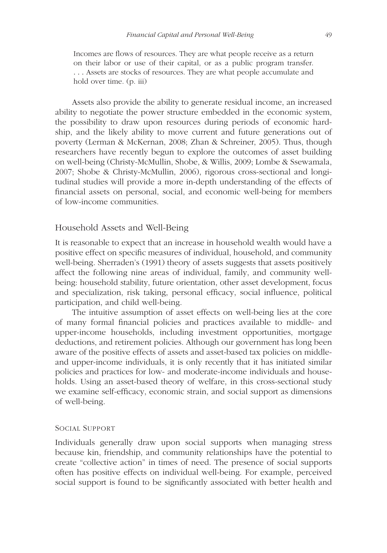Incomes are flows of resources. They are what people receive as a return on their labor or use of their capital, or as a public program transfer. *...* Assets are stocks of resources. They are what people accumulate and hold over time. (p. iii)

Assets also provide the ability to generate residual income, an increased ability to negotiate the power structure embedded in the economic system, the possibility to draw upon resources during periods of economic hardship, and the likely ability to move current and future generations out of poverty (Lerman & McKernan, 2008; Zhan & Schreiner, 2005). Thus, though researchers have recently begun to explore the outcomes of asset building on well-being (Christy-McMullin, Shobe, & Willis, 2009; Lombe & Ssewamala, 2007; Shobe & Christy-McMullin, 2006), rigorous cross-sectional and longitudinal studies will provide a more in-depth understanding of the effects of financial assets on personal, social, and economic well-being for members of low-income communities.

# Household Assets and Well-Being

It is reasonable to expect that an increase in household wealth would have a positive effect on specific measures of individual, household, and community well-being. Sherraden's (1991) theory of assets suggests that assets positively affect the following nine areas of individual, family, and community wellbeing: household stability, future orientation, other asset development, focus and specialization, risk taking, personal efficacy, social influence, political participation, and child well-being.

The intuitive assumption of asset effects on well-being lies at the core of many formal financial policies and practices available to middle- and upper-income households, including investment opportunities, mortgage deductions, and retirement policies. Although our government has long been aware of the positive effects of assets and asset-based tax policies on middleand upper-income individuals, it is only recently that it has initiated similar policies and practices for low- and moderate-income individuals and households. Using an asset-based theory of welfare, in this cross-sectional study we examine self-efficacy, economic strain, and social support as dimensions of well-being.

# SOCIAL SUPPORT

Individuals generally draw upon social supports when managing stress because kin, friendship, and community relationships have the potential to create "collective action" in times of need. The presence of social supports often has positive effects on individual well-being. For example, perceived social support is found to be significantly associated with better health and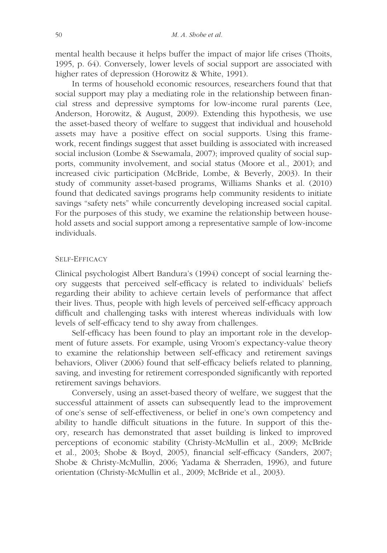mental health because it helps buffer the impact of major life crises (Thoits, 1995, p. 64). Conversely, lower levels of social support are associated with higher rates of depression (Horowitz & White, 1991).

In terms of household economic resources, researchers found that that social support may play a mediating role in the relationship between financial stress and depressive symptoms for low-income rural parents (Lee, Anderson, Horowitz, & August, 2009). Extending this hypothesis, we use the asset-based theory of welfare to suggest that individual and household assets may have a positive effect on social supports. Using this framework, recent findings suggest that asset building is associated with increased social inclusion (Lombe & Ssewamala, 2007); improved quality of social supports, community involvement, and social status (Moore et al., 2001); and increased civic participation (McBride, Lombe, & Beverly, 2003). In their study of community asset-based programs, Williams Shanks et al. (2010) found that dedicated savings programs help community residents to initiate savings "safety nets" while concurrently developing increased social capital. For the purposes of this study, we examine the relationship between household assets and social support among a representative sample of low-income individuals.

### SELF-EFFICACY

Clinical psychologist Albert Bandura's (1994) concept of social learning theory suggests that perceived self-efficacy is related to individuals' beliefs regarding their ability to achieve certain levels of performance that affect their lives. Thus, people with high levels of perceived self-efficacy approach difficult and challenging tasks with interest whereas individuals with low levels of self-efficacy tend to shy away from challenges.

Self-efficacy has been found to play an important role in the development of future assets. For example, using Vroom's expectancy-value theory to examine the relationship between self-efficacy and retirement savings behaviors, Oliver (2006) found that self-efficacy beliefs related to planning, saving, and investing for retirement corresponded significantly with reported retirement savings behaviors.

Conversely, using an asset-based theory of welfare, we suggest that the successful attainment of assets can subsequently lead to the improvement of one's sense of self-effectiveness, or belief in one's own competency and ability to handle difficult situations in the future. In support of this theory, research has demonstrated that asset building is linked to improved perceptions of economic stability (Christy-McMullin et al., 2009; McBride et al., 2003; Shobe & Boyd, 2005), financial self-efficacy (Sanders, 2007; Shobe & Christy-McMullin, 2006; Yadama & Sherraden, 1996), and future orientation (Christy-McMullin et al., 2009; McBride et al., 2003).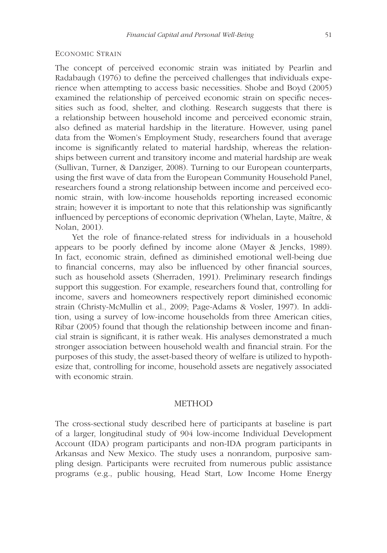#### ECONOMIC STRAIN

The concept of perceived economic strain was initiated by Pearlin and Radabaugh (1976) to define the perceived challenges that individuals experience when attempting to access basic necessities. Shobe and Boyd (2005) examined the relationship of perceived economic strain on specific necessities such as food, shelter, and clothing. Research suggests that there is a relationship between household income and perceived economic strain, also defined as material hardship in the literature. However, using panel data from the Women's Employment Study, researchers found that average income is significantly related to material hardship, whereas the relationships between current and transitory income and material hardship are weak (Sullivan, Turner, & Danziger, 2008). Turning to our European counterparts, using the first wave of data from the European Community Household Panel, researchers found a strong relationship between income and perceived economic strain, with low-income households reporting increased economic strain; however it is important to note that this relationship was significantly influenced by perceptions of economic deprivation (Whelan, Layte, Maître, & Nolan, 2001).

Yet the role of finance-related stress for individuals in a household appears to be poorly defined by income alone (Mayer & Jencks, 1989). In fact, economic strain, defined as diminished emotional well-being due to financial concerns, may also be influenced by other financial sources, such as household assets (Sherraden, 1991). Preliminary research findings support this suggestion. For example, researchers found that, controlling for income, savers and homeowners respectively report diminished economic strain (Christy-McMullin et al., 2009; Page-Adams & Vosler, 1997). In addition, using a survey of low-income households from three American cities, Ribar (2005) found that though the relationship between income and financial strain is significant, it is rather weak. His analyses demonstrated a much stronger association between household wealth and financial strain. For the purposes of this study, the asset-based theory of welfare is utilized to hypothesize that, controlling for income, household assets are negatively associated with economic strain.

#### **METHOD**

The cross-sectional study described here of participants at baseline is part of a larger, longitudinal study of 904 low-income Individual Development Account (IDA) program participants and non-IDA program participants in Arkansas and New Mexico. The study uses a nonrandom, purposive sampling design. Participants were recruited from numerous public assistance programs (e.g., public housing, Head Start, Low Income Home Energy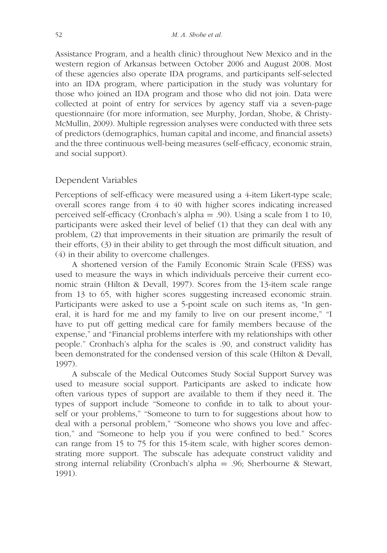Assistance Program, and a health clinic) throughout New Mexico and in the western region of Arkansas between October 2006 and August 2008. Most of these agencies also operate IDA programs, and participants self-selected into an IDA program, where participation in the study was voluntary for those who joined an IDA program and those who did not join. Data were collected at point of entry for services by agency staff via a seven-page questionnaire (for more information, see Murphy, Jordan, Shobe, & Christy-McMullin, 2009). Multiple regression analyses were conducted with three sets of predictors (demographics, human capital and income, and financial assets) and the three continuous well-being measures (self-efficacy, economic strain, and social support).

# Dependent Variables

Perceptions of self-efficacy were measured using a 4-item Likert-type scale; overall scores range from 4 to 40 with higher scores indicating increased perceived self-efficacy (Cronbach's alpha  $=$  .90). Using a scale from 1 to 10, participants were asked their level of belief (1) that they can deal with any problem, (2) that improvements in their situation are primarily the result of their efforts, (3) in their ability to get through the most difficult situation, and (4) in their ability to overcome challenges.

A shortened version of the Family Economic Strain Scale (FESS) was used to measure the ways in which individuals perceive their current economic strain (Hilton & Devall, 1997). Scores from the 13-item scale range from 13 to 65, with higher scores suggesting increased economic strain. Participants were asked to use a 5-point scale on such items as, "In general, it is hard for me and my family to live on our present income," "I have to put off getting medical care for family members because of the expense," and "Financial problems interfere with my relationships with other people." Cronbach's alpha for the scales is .90, and construct validity has been demonstrated for the condensed version of this scale (Hilton & Devall, 1997).

A subscale of the Medical Outcomes Study Social Support Survey was used to measure social support. Participants are asked to indicate how often various types of support are available to them if they need it. The types of support include "Someone to confide in to talk to about yourself or your problems," "Someone to turn to for suggestions about how to deal with a personal problem," "Someone who shows you love and affection," and "Someone to help you if you were confined to bed." Scores can range from 15 to 75 for this 15-item scale, with higher scores demonstrating more support. The subscale has adequate construct validity and strong internal reliability (Cronbach's alpha = .96; Sherbourne & Stewart, 1991).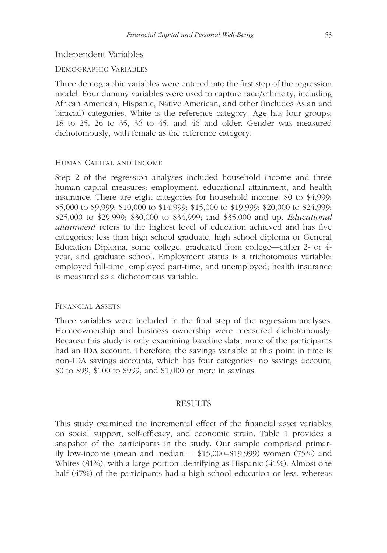#### DEMOGRAPHIC VARIABLES

Three demographic variables were entered into the first step of the regression model. Four dummy variables were used to capture race*/*ethnicity, including African American, Hispanic, Native American, and other (includes Asian and biracial) categories. White is the reference category. Age has four groups: 18 to 25, 26 to 35, 36 to 45, and 46 and older. Gender was measured dichotomously, with female as the reference category.

## HUMAN CAPITAL AND INCOME

Step 2 of the regression analyses included household income and three human capital measures: employment, educational attainment, and health insurance. There are eight categories for household income: \$0 to \$4,999; \$5,000 to \$9,999; \$10,000 to \$14,999; \$15,000 to \$19,999; \$20,000 to \$24,999; \$25,000 to \$29,999; \$30,000 to \$34,999; and \$35,000 and up. *Educational attainment* refers to the highest level of education achieved and has five categories: less than high school graduate, high school diploma or General Education Diploma, some college, graduated from college—either 2- or 4 year, and graduate school. Employment status is a trichotomous variable: employed full-time, employed part-time, and unemployed; health insurance is measured as a dichotomous variable.

#### FINANCIAL ASSETS

Three variables were included in the final step of the regression analyses. Homeownership and business ownership were measured dichotomously. Because this study is only examining baseline data, none of the participants had an IDA account. Therefore, the savings variable at this point in time is non-IDA savings accounts, which has four categories: no savings account, \$0 to \$99, \$100 to \$999, and \$1,000 or more in savings.

#### RESULTS

This study examined the incremental effect of the financial asset variables on social support, self-efficacy, and economic strain. Table 1 provides a snapshot of the participants in the study. Our sample comprised primarily low-income (mean and median  $=$  \$15,000–\$19,999) women (75%) and Whites (81%), with a large portion identifying as Hispanic (41%). Almost one half (47%) of the participants had a high school education or less, whereas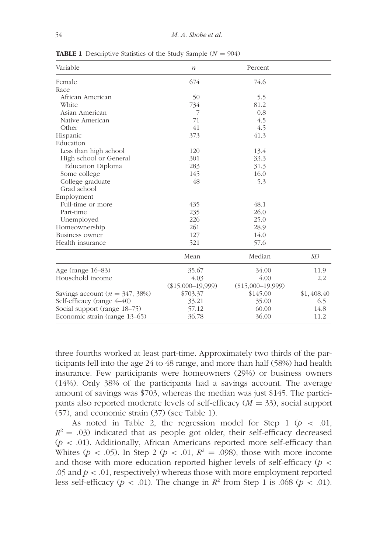| Variable                           | $\boldsymbol{n}$   | Percent             |            |
|------------------------------------|--------------------|---------------------|------------|
| Female                             | 674                | 74.6                |            |
| Race                               |                    |                     |            |
| African American                   | 50                 | 5.5                 |            |
| White                              | 734                | 81.2                |            |
| Asian American                     | 7                  | 0.8                 |            |
| Native American                    | 71                 | 4.5                 |            |
| Other                              | 41                 | 4.5                 |            |
| Hispanic                           | 373                | 41.3                |            |
| Education                          |                    |                     |            |
| Less than high school              | 120                | 13.4                |            |
| High school or General             | 301                | 33.3                |            |
| <b>Education Diploma</b>           | 283                | 31.3                |            |
| Some college                       | 145                | 16.0                |            |
| College graduate                   | 48                 | 5.3                 |            |
| Grad school                        |                    |                     |            |
| Employment                         |                    |                     |            |
| Full-time or more                  | 435                | 48.1                |            |
| Part-time                          | 235                | 26.0                |            |
| Unemployed                         | 226                | 25.0                |            |
| Homeownership                      | 261                | 28.9                |            |
| Business owner                     | 127                | 14.0                |            |
| Health insurance                   | 521                | 57.6                |            |
|                                    | Mean               | Median              | SD         |
| Age (range 16–83)                  | 35.67              | 34.00               | 11.9       |
| Household income                   | 4.03               | 4.00                | 2.2        |
|                                    | $($15,000-19,999)$ | $(\$15,000-19,999)$ |            |
| Savings account ( $n = 347, 38\%)$ | \$703.37           | \$145.00            | \$1,408.40 |
| Self-efficacy (range 4-40)         | 33.21              | 35.00               | 6.5        |
| Social support (range 18-75)       | 57.12              | 60.00               | 14.8       |
| Economic strain (range 13-65)      | 36.78              | 36.00               | 11.2       |

**TABLE 1** Descriptive Statistics of the Study Sample ( $N = 904$ )

three fourths worked at least part-time. Approximately two thirds of the participants fell into the age 24 to 48 range, and more than half (58%) had health insurance. Few participants were homeowners (29%) or business owners (14%). Only 38% of the participants had a savings account. The average amount of savings was \$703, whereas the median was just \$145. The participants also reported moderate levels of self-efficacy  $(M = 33)$ , social support (57), and economic strain (37) (see Table 1).

As noted in Table 2, the regression model for Step 1 ( $p < .01$ ,  $R^2 = .03$ ) indicated that as people got older, their self-efficacy decreased  $(p < .01)$ . Additionally, African Americans reported more self-efficacy than Whites ( $p < .05$ ). In Step 2 ( $p < .01$ ,  $R^2 = .098$ ), those with more income and those with more education reported higher levels of self-efficacy (*p <* .05 and  $p < .01$ , respectively) whereas those with more employment reported less self-efficacy ( $p < .01$ ). The change in  $R^2$  from Step 1 is .068 ( $p < .01$ ).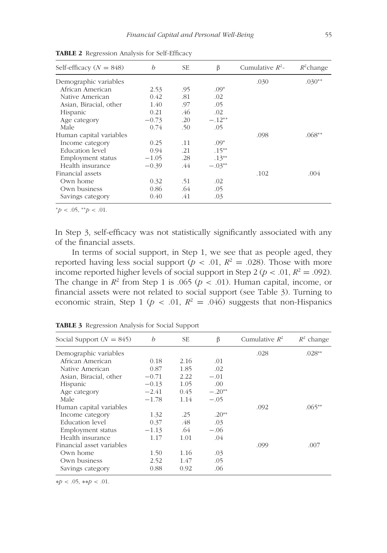| Self-efficacy $(N = 848)$ | b       | <b>SE</b> | β        | Cumulative $R^2$ - | $R^2$ change |
|---------------------------|---------|-----------|----------|--------------------|--------------|
| Demographic variables     |         |           |          | .030               | $.030**$     |
| African American          | 2.53    | .95       | $.09*$   |                    |              |
| Native American           | 0.42    | .81       | .02      |                    |              |
| Asian, Biracial, other    | 1.40    | .97       | .05      |                    |              |
| Hispanic                  | 0.21    | .46       | .02      |                    |              |
| Age category              | $-0.73$ | .20       | $-.12**$ |                    |              |
| Male                      | 0.74    | .50       | .05      |                    |              |
| Human capital variables   |         |           |          | .098               | $.068**$     |
| Income category           | 0.25    | .11       | $.09*$   |                    |              |
| Education level           | 0.94    | .21       | $.15***$ |                    |              |
| Employment status         | $-1.05$ | .28       | $.13**$  |                    |              |
| Health insurance          | $-0.39$ | .44       | $-.03**$ |                    |              |
| Financial assets          |         |           |          | .102               | .004         |
| Own home                  | 0.32    | .51       | .02      |                    |              |
| Own business              | 0.86    | .64       | .05      |                    |              |
| Savings category          | 0.40    | .41       | .03      |                    |              |

**TABLE 2** Regression Analysis for Self-Efficacy

<sup>∗</sup>*p <* .05, ∗∗*p <* .01.

In Step 3, self-efficacy was not statistically significantly associated with any of the financial assets.

In terms of social support, in Step 1, we see that as people aged, they reported having less social support ( $p < .01$ ,  $R^2 = .028$ ). Those with more income reported higher levels of social support in Step 2 ( $p < .01$ ,  $R^2 = .092$ ). The change in  $R^2$  from Step 1 is .065 ( $p < .01$ ). Human capital, income, or financial assets were not related to social support (see Table 3). Turning to economic strain, Step 1 ( $p < .01$ ,  $R^2 = .046$ ) suggests that non-Hispanics

| Social Support $(N = 845)$ | $\boldsymbol{b}$ | <b>SE</b> | β        | Cumulative $R^2$ | $R^2$ change |
|----------------------------|------------------|-----------|----------|------------------|--------------|
| Demographic variables      |                  |           |          | .028             | $.028**$     |
| African American           | 0.18             | 2.16      | .01      |                  |              |
| Native American            | 0.87             | 1.85      | .02      |                  |              |
| Asian, Biracial, other     | $-0.71$          | 2.22      | $-.01$   |                  |              |
| Hispanic                   | $-0.13$          | 1.05      | .00      |                  |              |
| Age category               | $-2.41$          | 0.45      | $-.20**$ |                  |              |
| Male                       | $-1.78$          | 1.14      | $-.05$   |                  |              |
| Human capital variables    |                  |           |          | .092             | $.065**$     |
| Income category            | 1.32             | .25       | $.20**$  |                  |              |
| Education level            | 0.37             | .48       | .03      |                  |              |
| Employment status          | $-1.13$          | .64       | $-.06$   |                  |              |
| Health insurance           | 1.17             | 1.01      | .04      |                  |              |
| Financial asset variables  |                  |           |          | .099             | .007         |
| Own home                   | 1.50             | 1.16      | .03      |                  |              |
| Own business               | 2.52             | 1.47      | .05      |                  |              |
| Savings category           | 0.88             | 0.92      | .06      |                  |              |

**TABLE 3** Regression Analysis for Social Support

∗*p <* .05, ∗∗*p <* .01.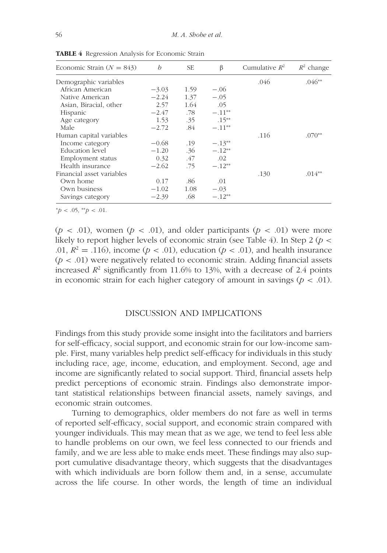| Economic Strain $(N = 843)$ | $\boldsymbol{b}$ | SE.  | β        | Cumulative $R^2$ | $R^2$ change |
|-----------------------------|------------------|------|----------|------------------|--------------|
| Demographic variables       |                  |      |          | .046             | $.046**$     |
| African American            | $-3.03$          | 1.59 | $-.06$   |                  |              |
| Native American             | $-2.24$          | 1.37 | $-.05$   |                  |              |
| Asian, Biracial, other      | 2.57             | 1.64 | .05      |                  |              |
| Hispanic                    | $-2.47$          | .78  | $-.11**$ |                  |              |
| Age category                | 1.53             | .35  | $.15***$ |                  |              |
| Male                        | $-2.72$          | .84  | $-.11**$ |                  |              |
| Human capital variables     |                  |      |          | .116             | $.070**$     |
| Income category             | $-0.68$          | .19  | $-.13**$ |                  |              |
| <b>Education</b> level      | $-1.20$          | .36  | $-.12**$ |                  |              |
| Employment status           | 0.32             | .47  | .02      |                  |              |
| Health insurance            | $-2.62$          | .75  | $-.12**$ |                  |              |
| Financial asset variables   |                  |      |          | .130             | $.014**$     |
| Own home                    | 0.17             | .86  | .01      |                  |              |
| Own business                | $-1.02$          | 1.08 | $-.03$   |                  |              |
| Savings category            | $-2.39$          | .68  | $-.12**$ |                  |              |

**TABLE 4** Regression Analysis for Economic Strain

<sup>∗</sup>*p <* .05, ∗∗*p <* .01.

( $p < .01$ ), women ( $p < .01$ ), and older participants ( $p < .01$ ) were more likely to report higher levels of economic strain (see Table 4). In Step 2 (*p <* .01,  $R^2 = .116$ ), income ( $p < .01$ ), education ( $p < .01$ ), and health insurance  $(p < .01)$  were negatively related to economic strain. Adding financial assets increased  $R^2$  significantly from 11.6% to 13%, with a decrease of 2.4 points in economic strain for each higher category of amount in savings  $(p < .01)$ .

## DISCUSSION AND IMPLICATIONS

Findings from this study provide some insight into the facilitators and barriers for self-efficacy, social support, and economic strain for our low-income sample. First, many variables help predict self-efficacy for individuals in this study including race, age, income, education, and employment. Second, age and income are significantly related to social support. Third, financial assets help predict perceptions of economic strain. Findings also demonstrate important statistical relationships between financial assets, namely savings, and economic strain outcomes.

Turning to demographics, older members do not fare as well in terms of reported self-efficacy, social support, and economic strain compared with younger individuals. This may mean that as we age, we tend to feel less able to handle problems on our own, we feel less connected to our friends and family, and we are less able to make ends meet. These findings may also support cumulative disadvantage theory, which suggests that the disadvantages with which individuals are born follow them and, in a sense, accumulate across the life course. In other words, the length of time an individual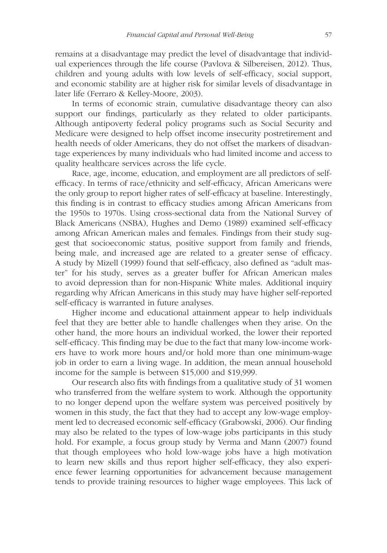remains at a disadvantage may predict the level of disadvantage that individual experiences through the life course (Pavlova & Silbereisen, 2012). Thus, children and young adults with low levels of self-efficacy, social support, and economic stability are at higher risk for similar levels of disadvantage in later life (Ferraro & Kelley-Moore, 2003).

In terms of economic strain, cumulative disadvantage theory can also support our findings, particularly as they related to older participants. Although antipoverty federal policy programs such as Social Security and Medicare were designed to help offset income insecurity postretirement and health needs of older Americans, they do not offset the markers of disadvantage experiences by many individuals who had limited income and access to quality healthcare services across the life cycle.

Race, age, income, education, and employment are all predictors of selfefficacy. In terms of race*/*ethnicity and self-efficacy, African Americans were the only group to report higher rates of self-efficacy at baseline. Interestingly, this finding is in contrast to efficacy studies among African Americans from the 1950s to 1970s. Using cross-sectional data from the National Survey of Black Americans (NSBA), Hughes and Demo (1989) examined self-efficacy among African American males and females. Findings from their study suggest that socioeconomic status, positive support from family and friends, being male, and increased age are related to a greater sense of efficacy. A study by Mizell (1999) found that self-efficacy, also defined as "adult master" for his study, serves as a greater buffer for African American males to avoid depression than for non-Hispanic White males. Additional inquiry regarding why African Americans in this study may have higher self-reported self-efficacy is warranted in future analyses.

Higher income and educational attainment appear to help individuals feel that they are better able to handle challenges when they arise. On the other hand, the more hours an individual worked, the lower their reported self-efficacy. This finding may be due to the fact that many low-income workers have to work more hours and*/*or hold more than one minimum-wage job in order to earn a living wage. In addition, the mean annual household income for the sample is between \$15,000 and \$19,999.

Our research also fits with findings from a qualitative study of 31 women who transferred from the welfare system to work. Although the opportunity to no longer depend upon the welfare system was perceived positively by women in this study, the fact that they had to accept any low-wage employment led to decreased economic self-efficacy (Grabowski, 2006). Our finding may also be related to the types of low-wage jobs participants in this study hold. For example, a focus group study by Verma and Mann (2007) found that though employees who hold low-wage jobs have a high motivation to learn new skills and thus report higher self-efficacy, they also experience fewer learning opportunities for advancement because management tends to provide training resources to higher wage employees. This lack of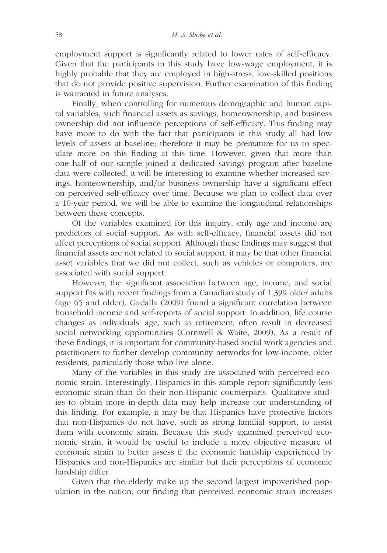employment support is significantly related to lower rates of self-efficacy. Given that the participants in this study have low-wage employment, it is highly probable that they are employed in high-stress, low-skilled positions that do not provide positive supervision. Further examination of this finding is warranted in future analyses.

Finally, when controlling for numerous demographic and human capital variables, such financial assets as savings, homeownership, and business ownership did not influence perceptions of self-efficacy. This finding may have more to do with the fact that participants in this study all had low levels of assets at baseline; therefore it may be premature for us to speculate more on this finding at this time. However, given that more than one half of our sample joined a dedicated savings program after baseline data were collected, it will be interesting to examine whether increased savings, homeownership, and*/*or business ownership have a significant effect on perceived self-efficacy over time. Because we plan to collect data over a 10-year period, we will be able to examine the longitudinal relationships between these concepts.

Of the variables examined for this inquiry, only age and income are predictors of social support. As with self-efficacy, financial assets did not affect perceptions of social support. Although these findings may suggest that financial assets are not related to social support, it may be that other financial asset variables that we did not collect, such as vehicles or computers, are associated with social support.

However, the significant association between age, income, and social support fits with recent findings from a Canadian study of 1,399 older adults (age 65 and older). Gadalla (2009) found a significant correlation between household income and self-reports of social support. In addition, life course changes as individuals' age, such as retirement, often result in decreased social networking opportunities (Cornwell & Waite, 2009). As a result of these findings, it is important for community-based social work agencies and practitioners to further develop community networks for low-income, older residents, particularly those who live alone.

Many of the variables in this study are associated with perceived economic strain. Interestingly, Hispanics in this sample report significantly less economic strain than do their non-Hispanic counterparts. Qualitative studies to obtain more in-depth data may help increase our understanding of this finding. For example, it may be that Hispanics have protective factors that non-Hispanics do not have, such as strong familial support, to assist them with economic strain. Because this study examined perceived economic strain, it would be useful to include a more objective measure of economic strain to better assess if the economic hardship experienced by Hispanics and non-Hispanics are similar but their perceptions of economic hardship differ.

Given that the elderly make up the second largest impoverished population in the nation, our finding that perceived economic strain increases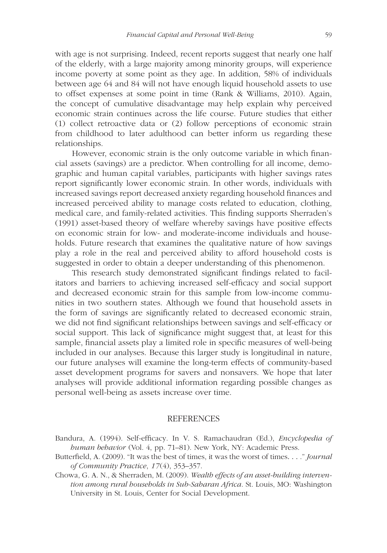with age is not surprising. Indeed, recent reports suggest that nearly one half of the elderly, with a large majority among minority groups, will experience income poverty at some point as they age. In addition, 58% of individuals between age 64 and 84 will not have enough liquid household assets to use to offset expenses at some point in time (Rank & Williams, 2010). Again, the concept of cumulative disadvantage may help explain why perceived economic strain continues across the life course. Future studies that either (1) collect retroactive data or (2) follow perceptions of economic strain from childhood to later adulthood can better inform us regarding these relationships.

However, economic strain is the only outcome variable in which financial assets (savings) are a predictor. When controlling for all income, demographic and human capital variables, participants with higher savings rates report significantly lower economic strain. In other words, individuals with increased savings report decreased anxiety regarding household finances and increased perceived ability to manage costs related to education, clothing, medical care, and family-related activities. This finding supports Sherraden's (1991) asset-based theory of welfare whereby savings have positive effects on economic strain for low- and moderate-income individuals and households. Future research that examines the qualitative nature of how savings play a role in the real and perceived ability to afford household costs is suggested in order to obtain a deeper understanding of this phenomenon.

This research study demonstrated significant findings related to facilitators and barriers to achieving increased self-efficacy and social support and decreased economic strain for this sample from low-income communities in two southern states. Although we found that household assets in the form of savings are significantly related to decreased economic strain, we did not find significant relationships between savings and self-efficacy or social support. This lack of significance might suggest that, at least for this sample, financial assets play a limited role in specific measures of well-being included in our analyses. Because this larger study is longitudinal in nature, our future analyses will examine the long-term effects of community-based asset development programs for savers and nonsavers. We hope that later analyses will provide additional information regarding possible changes as personal well-being as assets increase over time.

# **REFERENCES**

Bandura, A. (1994). Self-efficacy. In V. S. Ramachaudran (Ed.), *Encyclopedia of human behavior* (Vol. 4, pp. 71–81). New York, NY: Academic Press.

- Butterfield, A. (2009). "It was the best of times, it was the worst of times*...* ." *Journal of Community Practice*, *17*(4), 353–357.
- Chowa, G. A. N., & Sherraden, M. (2009). *Wealth effects of an asset-building intervention among rural households in Sub-Saharan Africa*. St. Louis, MO: Washington University in St. Louis, Center for Social Development.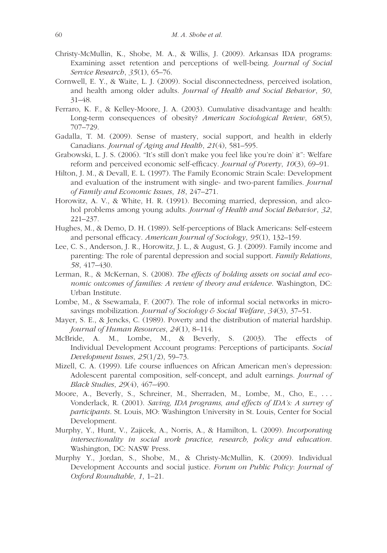- Christy-McMullin, K., Shobe, M. A., & Willis, J. (2009). Arkansas IDA programs: Examining asset retention and perceptions of well-being. *Journal of Social Service Research*, *35*(1), 65–76.
- Cornwell, E. Y., & Waite, L. J. (2009). Social disconnectedness, perceived isolation, and health among older adults. *Journal of Health and Social Behavior*, *50*, 31–48.
- Ferraro, K. F., & Kelley-Moore, J. A. (2003). Cumulative disadvantage and health: Long-term consequences of obesity? *American Sociological Review*, *68*(5), 707–729.
- Gadalla, T. M. (2009). Sense of mastery, social support, and health in elderly Canadians. *Journal of Aging and Health*, *21*(4), 581–595.
- Grabowski, L. J. S. (2006). "It's still don't make you feel like you're doin' it": Welfare reform and perceived economic self-efficacy. *Journal of Poverty*, *10*(3), 69–91.
- Hilton, J. M., & Devall, E. L. (1997). The Family Economic Strain Scale: Development and evaluation of the instrument with single- and two-parent families. *Journal of Family and Economic Issues*, *18*, 247–271.
- Horowitz, A. V., & White, H. R. (1991). Becoming married, depression, and alcohol problems among young adults. *Journal of Health and Social Behavior*, *32*, 221–237.
- Hughes, M., & Demo, D. H. (1989). Self-perceptions of Black Americans: Self-esteem and personal efficacy. *American Journal of Sociology*, *95*(1), 132–159.
- Lee, C. S., Anderson, J. R., Horowitz, J. L., & August, G. J. (2009). Family income and parenting: The role of parental depression and social support. *Family Relations*, *58*, 417–430.
- Lerman, R., & McKernan, S. (2008). *The effects of holding assets on social and economic outcomes of families: A review of theory and evidence*. Washington, DC: Urban Institute.
- Lombe, M., & Ssewamala, F. (2007). The role of informal social networks in microsavings mobilization. *Journal of Sociology & Social Welfare*, *34*(3), 37–51.
- Mayer, S. E., & Jencks, C. (1989). Poverty and the distribution of material hardship. *Journal of Human Resources*, *24*(1), 8–114.
- McBride, A. M., Lombe, M., & Beverly, S. (2003). The effects of Individual Development Account programs: Perceptions of participants. *Social Development Issues*, *25*(1*/*2), 59–73.
- Mizell, C. A. (1999). Life course influences on African American men's depression: Adolescent parental composition, self-concept, and adult earnings. *Journal of Black Studies*, *29*(4), 467–490.
- Moore, A., Beverly, S., Schreiner, M., Sherraden, M., Lombe, M., Cho, E., *...* Vonderlack, R. (2001). *Saving, IDA programs, and effects of IDA's: A survey of participants*. St. Louis, MO: Washington University in St. Louis, Center for Social Development.
- Murphy, Y., Hunt, V., Zajicek, A., Norris, A., & Hamilton, L. (2009). *Incorporating intersectionality in social work practice, research, policy and education*. Washington, DC: NASW Press.
- Murphy Y., Jordan, S., Shobe, M., & Christy-McMullin, K. (2009). Individual Development Accounts and social justice. *Forum on Public Policy*: *Journal of Oxford Roundtable*, *1*, 1–21.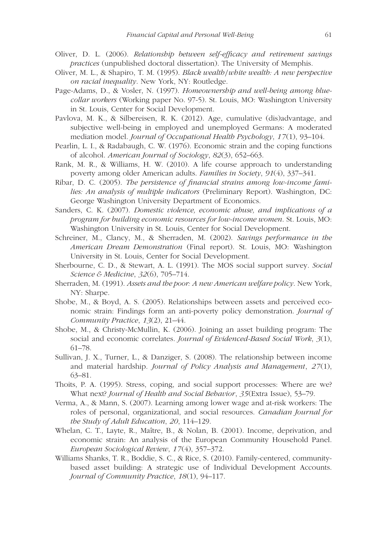- Oliver, D. L. (2006). *Relationship between self-efficacy and retirement savings practices* (unpublished doctoral dissertation). The University of Memphis.
- Oliver, M. L., & Shapiro, T. M. (1995). *Black wealth/white wealth: A new perspective on racial inequality*. New York, NY: Routledge.
- Page-Adams, D., & Vosler, N. (1997). *Homeownership and well-being among bluecollar workers* (Working paper No. 97-5). St. Louis, MO: Washington University in St. Louis, Center for Social Development.
- Pavlova, M. K., & Silbereisen, R. K. (2012). Age, cumulative (dis)advantage, and subjective well-being in employed and unemployed Germans: A moderated mediation model. *Journal of Occupational Health Psychology*, *17*(1), 93–104.
- Pearlin, L. I., & Radabaugh, C. W. (1976). Economic strain and the coping functions of alcohol. *American Journal of Sociology*, *82*(3), 652–663.
- Rank, M. R., & Williams, H. W. (2010). A life course approach to understanding poverty among older American adults. *Families in Society*, *91*(4), 337–341.
- Ribar, D. C. (2005). *The persistence of financial strains among low-income families: An analysis of multiple indicators* (Preliminary Report). Washington, DC: George Washington University Department of Economics.
- Sanders, C. K. (2007). *Domestic violence, economic abuse, and implications of a program for building economic resources for low-income women*. St. Louis, MO: Washington University in St. Louis, Center for Social Development.
- Schreiner, M., Clancy, M., & Sherraden, M. (2002). *Savings performance in the American Dream Demonstration* (Final report). St. Louis, MO: Washington University in St. Louis, Center for Social Development.
- Sherbourne, C. D., & Stewart, A. L. (1991). The MOS social support survey. *Social Science & Medicine*, *32*(6), 705–714.
- Sherraden, M. (1991). *Assets and the poor: A new American welfare policy*. New York, NY: Sharpe.
- Shobe, M., & Boyd, A. S. (2005). Relationships between assets and perceived economic strain: Findings form an anti-poverty policy demonstration. *Journal of Community Practice*, *13*(2), 21–44.
- Shobe, M., & Christy-McMullin, K. (2006). Joining an asset building program: The social and economic correlates. *Journal of Evidenced-Based Social Work*, *3*(1), 61–78.
- Sullivan, J. X., Turner, L., & Danziger, S. (2008). The relationship between income and material hardship. *Journal of Policy Analysis and Management*, *27*(1), 63–81.
- Thoits, P. A. (1995). Stress, coping, and social support processes: Where are we? What next? *Journal of Health and Social Behavior*, *35*(Extra Issue), 53–79.
- Verma, A., & Mann, S. (2007). Learning among lower wage and at-risk workers: The roles of personal, organizational, and social resources. *Canadian Journal for the Study of Adult Education*, *20*, 114–129.
- Whelan, C. T., Layte, R., Maître, B., & Nolan, B. (2001). Income, deprivation, and economic strain: An analysis of the European Community Household Panel. *European Sociological Review*, *17*(4), 357–372.
- Williams Shanks, T. R., Boddie, S. C., & Rice, S. (2010). Family-centered, communitybased asset building: A strategic use of Individual Development Accounts. *Journal of Community Practice*, *18*(1), 94–117.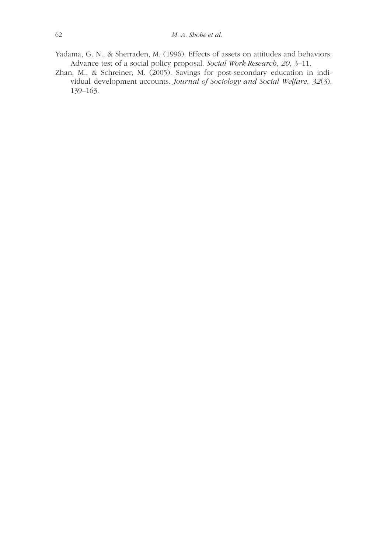- Yadama, G. N., & Sherraden, M. (1996). Effects of assets on attitudes and behaviors: Advance test of a social policy proposal. *Social Work Research*, *20*, 3–11.
- Zhan, M., & Schreiner, M. (2005). Savings for post-secondary education in individual development accounts. *Journal of Sociology and Social Welfare*, *32*(3), 139–163.